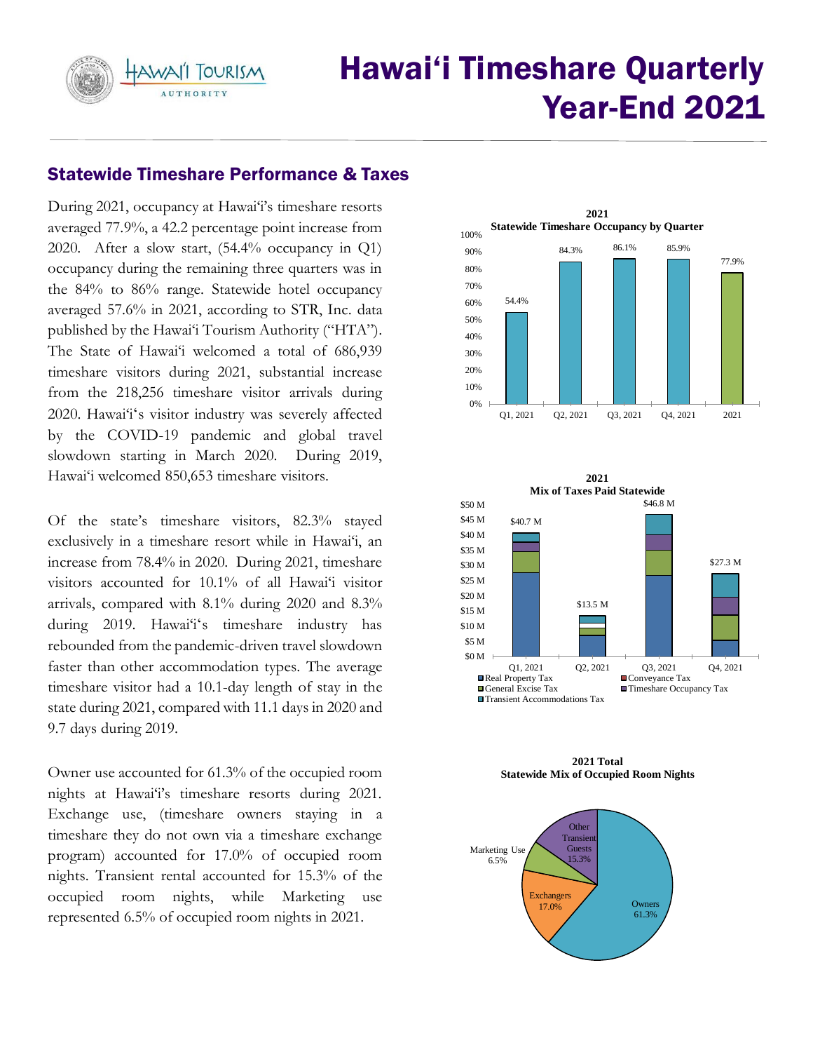HAWAI'I TOURISM **AUTHORITY** 

# Hawai'i Timeshare Quarterly Year-End 2021

# Statewide Timeshare Performance & Taxes

During 2021, occupancy at Hawai'i's timeshare resorts 2020. After a slow start, (54.4% occupancy in Q1) occupancy during the remaining three quarters was in the 84% to 86% range. Statewide hotel occupancy averaged 57.6% in 2021, according to STR, Inc. data published by the Hawai'i Tourism Authority ("HTA"). The State of Hawai'i welcomed a total of 686,939 timeshare visitors during 2021, substantial increase from the 218,256 timeshare visitor arrivals during 2020. Hawai'iʻs visitor industry was severely affected by the COVID-19 pandemic and global travel slowdown starting in March 2020. During 2019, averaged 77.9%, a 42.2 percentage point increase from Hawai'i welcomed 850,653 timeshare visitors.

 Of the state's timeshare visitors, 82.3% stayed exclusively in a timeshare resort while in Hawai'i, an increase from 78.4% in 2020. During 2021, timeshare visitors accounted for 10.1% of all Hawai'i visitor arrivals, compared with 8.1% during 2020 and 8.3% during 2019. Hawai'iʻs timeshare industry has rebounded from the pandemic-driven travel slowdown faster than other accommodation types. The average timeshare visitor had a 10.1-day length of stay in the state during 2021, compared with 11.1 days in 2020 and 9.7 days during 2019.

 Owner use accounted for 61.3% of the occupied room nights at Hawai'i's timeshare resorts during 2021. Exchange use, (timeshare owners staying in a timeshare they do not own via a timeshare exchange program) accounted for 17.0% of occupied room nights. Transient rental accounted for 15.3% of the represented 6.5% of occupied room nights in 2021. occupied room nights, while Marketing use





 **Statewide Mix of Occupied Room Nights 2021 Total** 

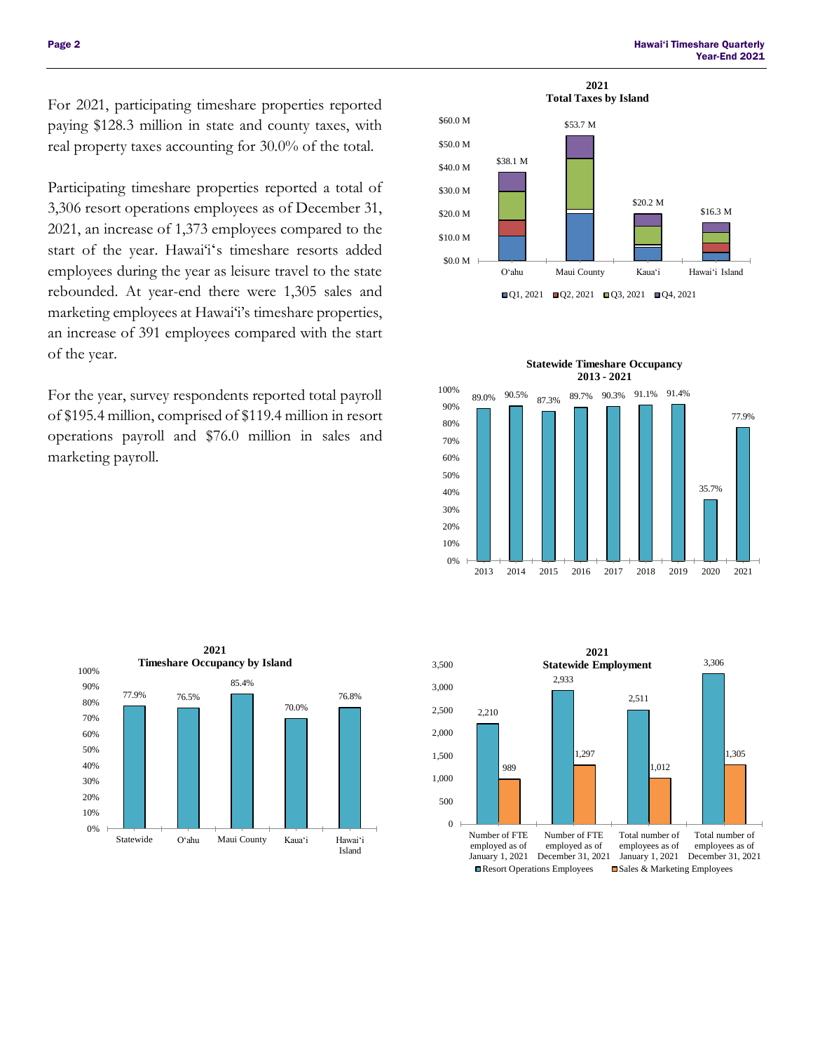For 2021, participating timeshare properties reported paying \$128.3 million in state and county taxes, with real property taxes accounting for 30.0% of the total.

 Participating timeshare properties reported a total of 3,306 resort operations employees as of December 31, 2021, an increase of 1,373 employees compared to the start of the year. Hawai'i's timeshare resorts added employees during the year as leisure travel to the state rebounded. At year-end there were 1,305 sales and marketing employees at Hawai'i's timeshare properties, an increase of 391 employees compared with the start of the year.

 For the year, survey respondents reported total payroll of \$195.4 million, comprised of \$119.4 million in resort operations payroll and \$76.0 million in sales and marketing payroll.







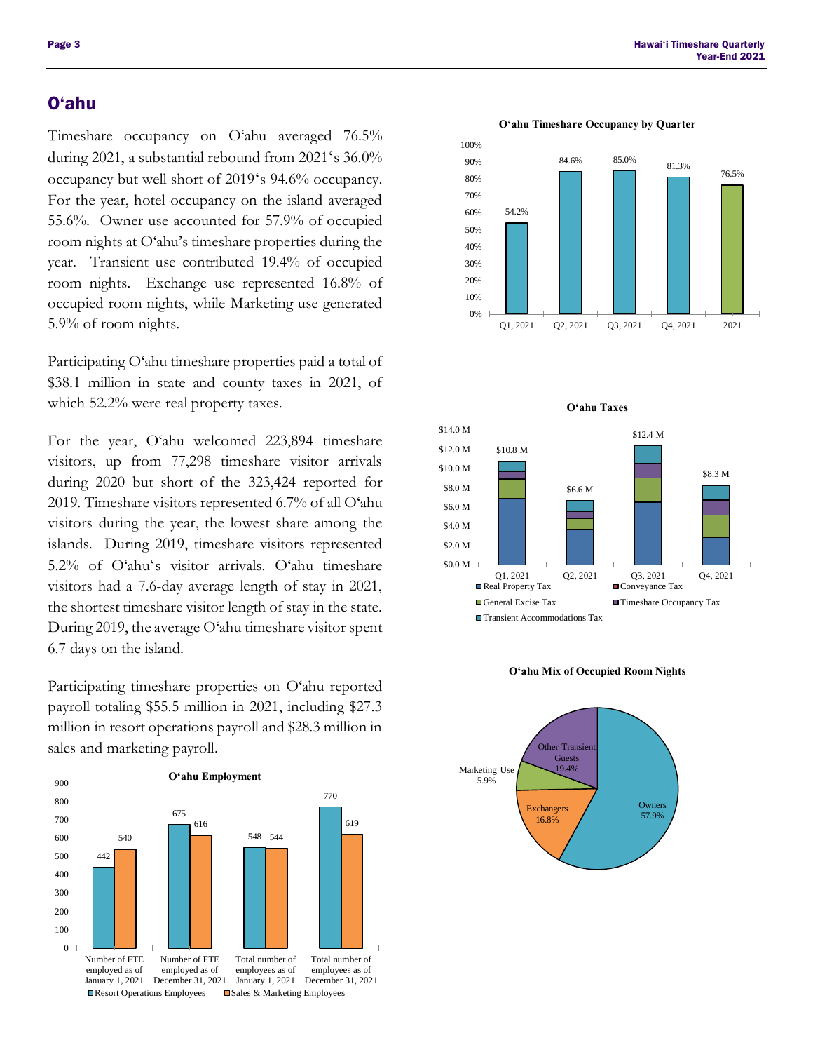during 2021, a substantial rebound from 2021ʻs 36.0% occupancy but well short of 2019ʻs 94.6% occupancy. For the year, hotel occupancy on the island averaged 55.6%. Owner use accounted for 57.9% of occupied room nights at O'ahu's timeshare properties during the year. Transient use contributed 19.4% of occupied room nights. Exchange use represented 16.8% of occupied room nights, while Marketing use generated 5.9% of room nights. Timeshare occupancy on O'ahu averaged 76.5%

 Participating O'ahu timeshare properties paid a total of \$38.1 million in state and county taxes in 2021, of which 52.2% were real property taxes.

 For the year, O'ahu welcomed 223,894 timeshare visitors, up from 77,298 timeshare visitor arrivals during 2020 but short of the 323,424 reported for 2019. Timeshare visitors represented 6.7% of all O'ahu visitors during the year, the lowest share among the 5.2% of O'ahuʻs visitor arrivals. O'ahu timeshare visitors had a 7.6-day average length of stay in 2021, the shortest timeshare visitor length of stay in the state. During 2019, the average O'ahu timeshare visitor spent 6.7 days on the island. islands. During 2019, timeshare visitors represented

 payroll totaling \$55.5 million in 2021, including \$27.3 million in resort operations payroll and \$28.3 million in Participating timeshare properties on O'ahu reported sales and marketing payroll.













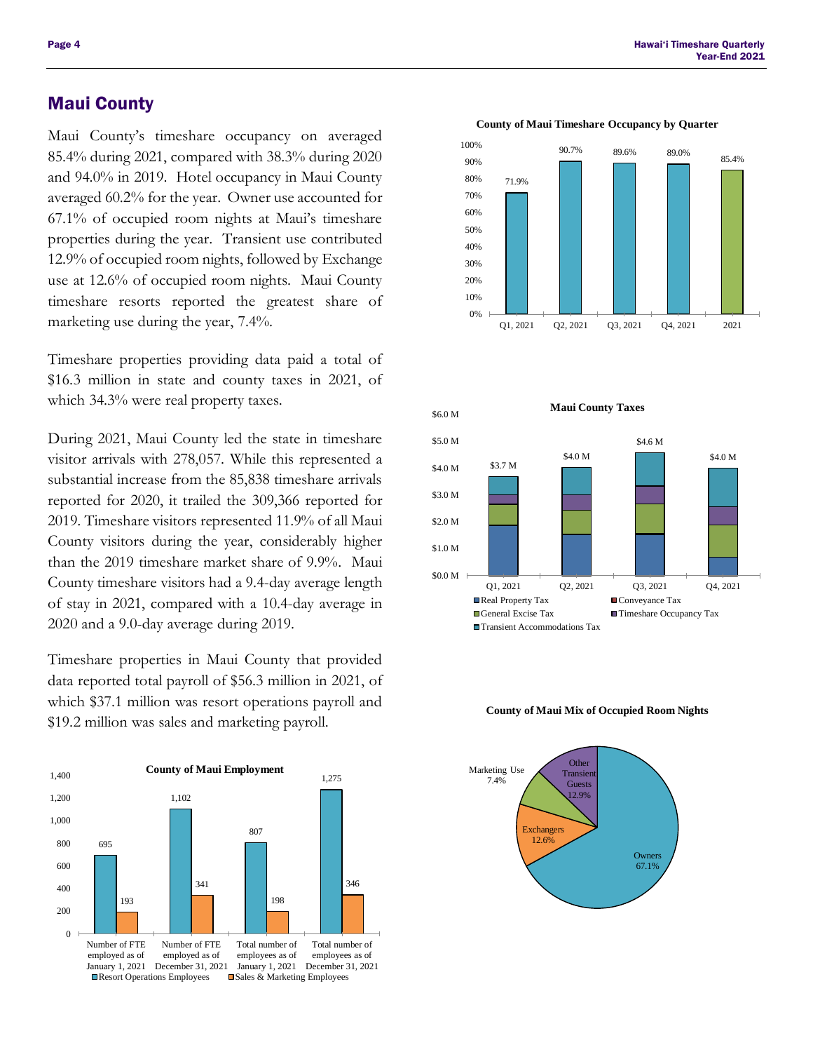## Maui County

 Maui County's timeshare occupancy on averaged 85.4% during 2021, compared with 38.3% during 2020 and 94.0% in 2019. Hotel occupancy in Maui County averaged 60.2% for the year. Owner use accounted for 67.1% of occupied room nights at Maui's timeshare properties during the year. Transient use contributed use at 12.6% of occupied room nights. Maui County timeshare resorts reported the greatest share of marketing use during the year, 7.4%. 12.9% of occupied room nights, followed by Exchange

 Timeshare properties providing data paid a total of \$16.3 million in state and county taxes in 2021, of which 34.3% were real property taxes.

 During 2021, Maui County led the state in timeshare visitor arrivals with 278,057. While this represented a substantial increase from the 85,838 timeshare arrivals reported for 2020, it trailed the 309,366 reported for 2019. Timeshare visitors represented 11.9% of all Maui County visitors during the year, considerably higher than the 2019 timeshare market share of 9.9%. Maui County timeshare visitors had a 9.4-day average length of stay in 2021, compared with a 10.4-day average in 2020 and a 9.0-day average during 2019.

 Timeshare properties in Maui County that provided data reported total payroll of \$56.3 million in 2021, of which \$37.1 million was resort operations payroll and \$19.2 million was sales and marketing payroll.



 Page 4 Hawai'i Timeshare Quarterly Year-End 2021



#### **County of Maui Timeshare Occupancy by Quarter**



#### **County of Maui Mix of Occupied Room Nights**

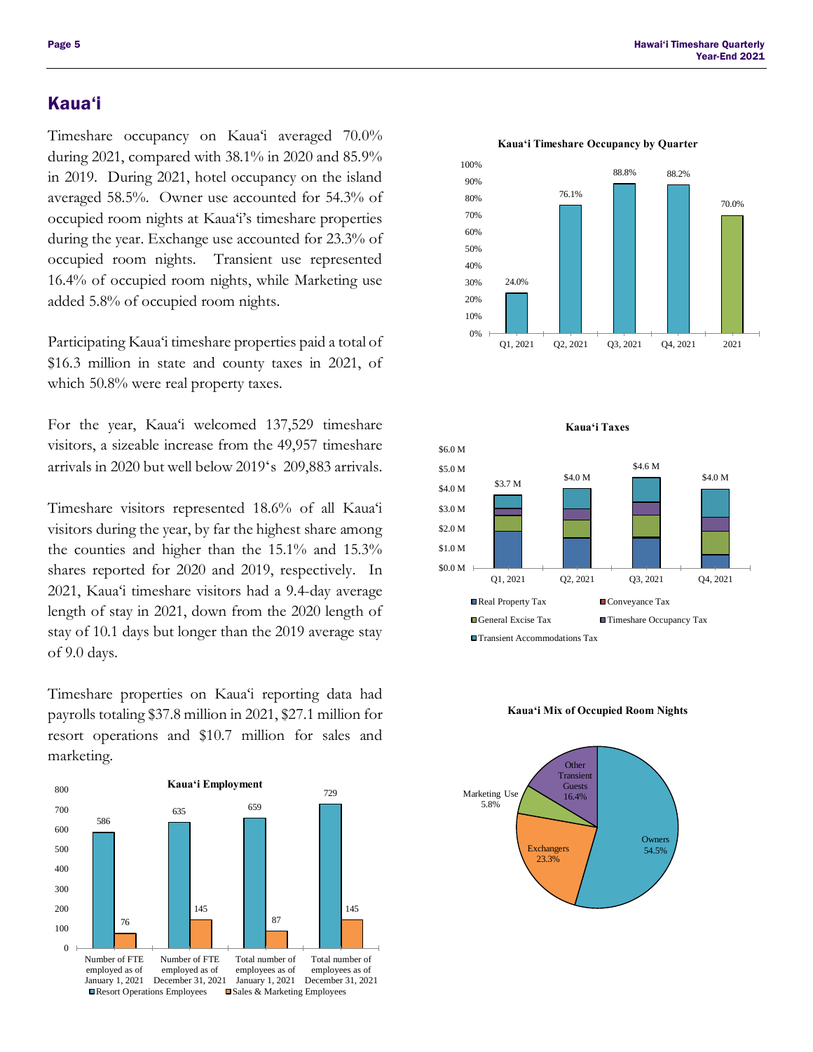## Kaua'i

 Timeshare occupancy on Kaua'i averaged 70.0% during 2021, compared with 38.1% in 2020 and 85.9% in 2019. During 2021, hotel occupancy on the island averaged 58.5%. Owner use accounted for 54.3% of occupied room nights at Kaua'i's timeshare properties during the year. Exchange use accounted for 23.3% of occupied room nights. 16.4% of occupied room nights, while Marketing use Transient use represented added 5.8% of occupied room nights.

 Participating Kaua'i timeshare properties paid a total of \$16.3 million in state and county taxes in 2021, of which 50.8% were real property taxes.

 For the year, Kaua'i welcomed 137,529 timeshare visitors, a sizeable increase from the 49,957 timeshare arrivals in 2020 but well below 2019ʻs 209,883 arrivals.

 Timeshare visitors represented 18.6% of all Kaua'i visitors during the year, by far the highest share among the counties and higher than the 15.1% and 15.3% shares reported for 2020 and 2019, respectively. In 2021, Kaua'i timeshare visitors had a 9.4-day average length of stay in 2021, down from the 2020 length of stay of 10.1 days but longer than the 2019 average stay of 9.0 days.

 Timeshare properties on Kaua'i reporting data had payrolls totaling \$37.8 million in 2021, \$27.1 million for resort operations and \$10.7 million for sales and marketing.



![](_page_4_Figure_9.jpeg)

![](_page_4_Figure_10.jpeg)

![](_page_4_Figure_11.jpeg)

## **Kaua'i Mix of Occupied Room Nights**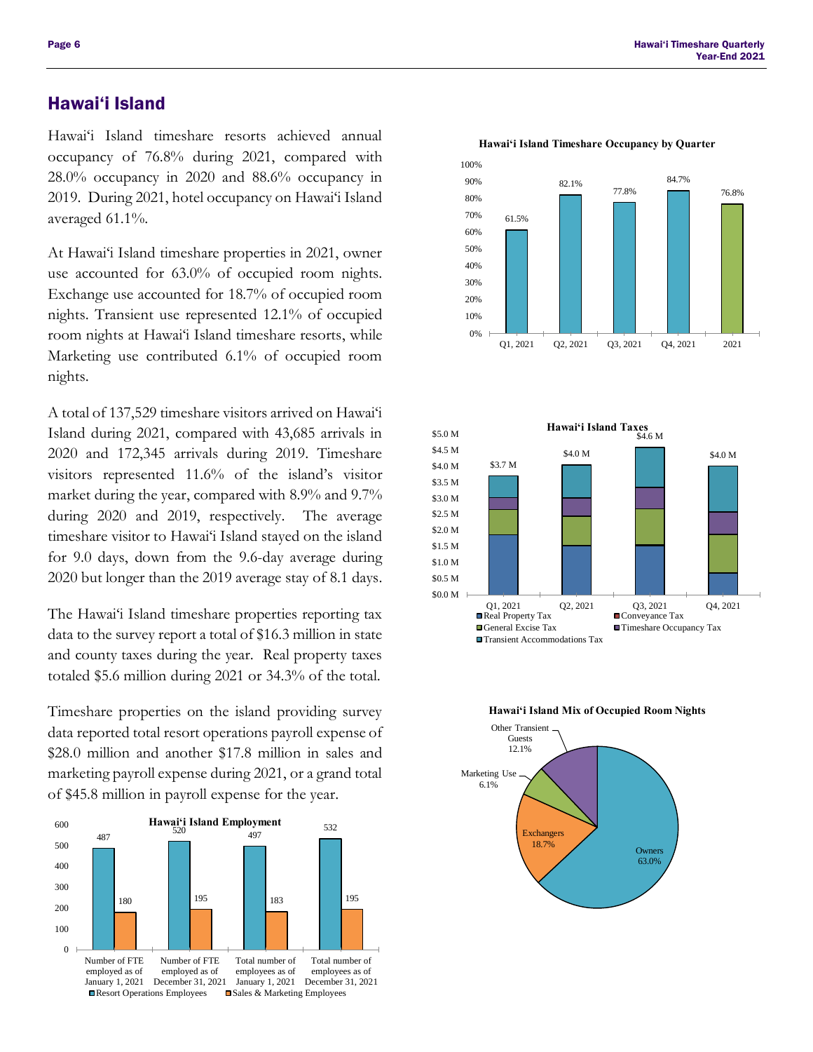## Hawai'i Island

 Hawai'i Island timeshare resorts achieved annual occupancy of 76.8% during 2021, compared with 2019. During 2021, hotel occupancy on Hawai'i Island 28.0% occupancy in 2020 and 88.6% occupancy in averaged 61.1%.

 At Hawai'i Island timeshare properties in 2021, owner use accounted for 63.0% of occupied room nights. nights. Transient use represented 12.1% of occupied room nights at Hawai'i Island timeshare resorts, while nights. nights.<br>A total of 137,529 timeshare visitors arrived on Hawaiʻi Exchange use accounted for 18.7% of occupied room Marketing use contributed 6.1% of occupied room

 Island during 2021, compared with 43,685 arrivals in 2020 and 172,345 arrivals during 2019. Timeshare visitors represented 11.6% of the island's visitor market during the year, compared with 8.9% and 9.7% during 2020 and 2019, respectively. The average timeshare visitor to Hawai'i Island stayed on the island for 9.0 days, down from the 9.6-day average during 2020 but longer than the 2019 average stay of 8.1 days.

 data to the survey report a total of \$16.3 million in state and county taxes during the year. Real property taxes totaled \$5.6 million during 2021 or 34.3% of the total. The Hawai'i Island timeshare properties reporting tax

 Timeshare properties on the island providing survey data reported total resort operations payroll expense of \$28.0 million and another \$17.8 million in sales and marketing payroll expense during 2021, or a grand total of \$45.8 million in payroll expense for the year.

![](_page_5_Figure_7.jpeg)

![](_page_5_Figure_8.jpeg)

![](_page_5_Figure_9.jpeg)

![](_page_5_Figure_10.jpeg)

![](_page_5_Figure_11.jpeg)

![](_page_5_Figure_12.jpeg)

### **Hawai'i Island Timeshare Occupancy by Quarter**